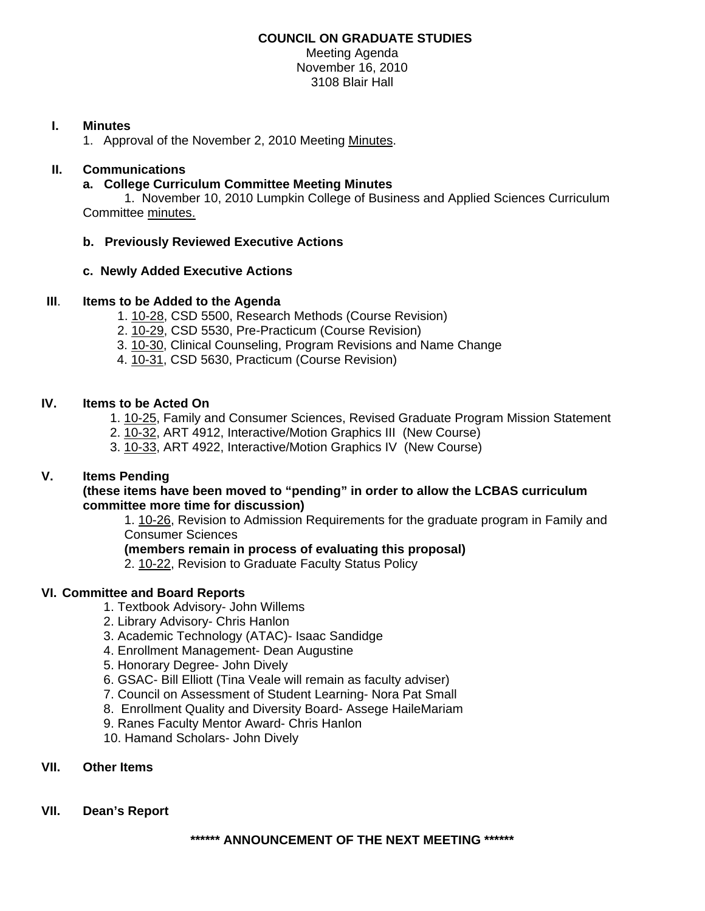# **COUNCIL ON GRADUATE STUDIES**

Meeting Agenda November 16, 2010 3108 Blair Hall

## **I. Minutes**

1. Approval of the November 2, 2010 Mee[ting Minutes.](http://castle.eiu.edu/~eiucgs/currentminutes/Minutes11-2-10.pdf) 

## **II. Communications**

### **a. College Curriculum Committee Meeting Minutes**

 1. November 10, 2010 Lumpkin College of Business and Applied Sciences Curriculum Committe[e minutes.](http://www.eiu.edu/~eiucgs/currentagendaitems/LCBASMin11-10-10.pdf)

# **b. Previously Reviewed Executive Actions**

### **c. Newly Added Executive Actions**

### **III**. **Items to be Added to the Agenda**

- [1. 10-28, C](http://www.eiu.edu/~eiucgs/currentagendaitems/agenda10-28.pdf)SD 5500, Research Methods (Course Revision)
- 2. [10-29,](http://www.eiu.edu/~eiucgs/currentagendaitems/agenda10-29.pdf) CSD 5530, Pre-Practicum (Course Revision)
- 3. [10-30, C](http://www.eiu.edu/~eiucgs/currentagendaitems/agenda10-30.pdf)linical Counseling, Program Revisions and Name Change
- [4. 10-31, C](http://www.eiu.edu/~eiucgs/currentagendaitems/agenda10-31.pdf)SD 5630, Practicum (Course Revision)

### **IV. Items to be Acted On**

- 1[. 10-25, F](http://www.eiu.edu/~eiucgs/currentagendaitems/agenda10-25.pdf)amily and Consumer Sciences, Revised Graduate Program Mission Statement
- 2[. 10-32, A](http://www.eiu.edu/~eiucgs/currentagendaitems/agenda10-32.pdf)RT 4912, Interactive/Motion Graphics III (New Course)
- 3. [10-33, A](http://www.eiu.edu/~eiucgs/currentagendaitems/agenda10-33.pdf)RT 4922, Interactive/Motion Graphics IV (New Course)

# **V. Items Pending**

### **(these items have been moved to "pending" in order to allow the LCBAS curriculum committee more time for discussion)**

[1. 10-26, R](http://www.eiu.edu/~eiucgs/currentagendaitems/agenda10-26.pdf)evision to Admission Requirements for the graduate program in Family and Consumer Sciences

# **(members remain in process of evaluating this proposal)**

2. [10-22, Revisio](http://www.eiu.edu/~eiucgs/currentagendaitems/agenda10-22.pdf)n to Graduate Faculty Status Policy

#### **VI. Committee and Board Reports**

- 1. Textbook Advisory- John Willems
- 2. Library Advisory- Chris Hanlon
- 3. Academic Technology (ATAC)- Isaac Sandidge
- 4. Enrollment Management- Dean Augustine
- 5. Honorary Degree- John Dively
- 6. GSAC- Bill Elliott (Tina Veale will remain as faculty adviser)
- 7. Council on Assessment of Student Learning- Nora Pat Small
- 8. Enrollment Quality and Diversity Board- Assege HaileMariam
- 9. Ranes Faculty Mentor Award- Chris Hanlon
- 10. Hamand Scholars- John Dively

## **VII. Other Items**

## **VII. Dean's Report**

**\*\*\*\*\*\* ANNOUNCEMENT OF THE NEXT MEETING \*\*\*\*\*\***